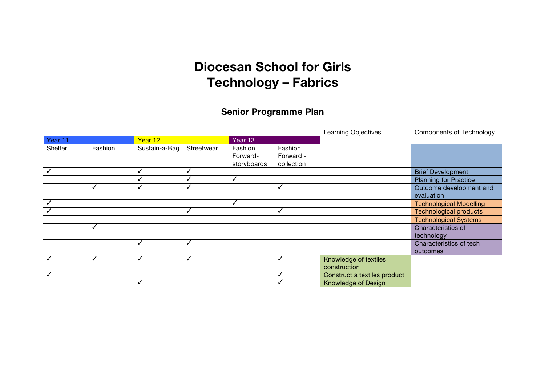# **Diocesan School for Girls Technology – Fabrics**

### **Senior Programme Plan**

|         |         |               |            |                                    |                                    | Learning Objectives                   | <b>Components of Technology</b>       |
|---------|---------|---------------|------------|------------------------------------|------------------------------------|---------------------------------------|---------------------------------------|
| Year 11 |         | Year 12       |            |                                    |                                    |                                       |                                       |
| Shelter | Fashion | Sustain-a-Bag | Streetwear | Fashion<br>Forward-<br>storyboards | Fashion<br>Forward -<br>collection |                                       |                                       |
|         |         | ✓             |            |                                    |                                    |                                       | <b>Brief Development</b>              |
|         |         | √             |            |                                    |                                    |                                       | <b>Planning for Practice</b>          |
|         | J       | √             | √          |                                    | J                                  |                                       | Outcome development and<br>evaluation |
|         |         |               |            |                                    |                                    |                                       | <b>Technological Modelling</b>        |
|         |         |               |            |                                    | J                                  |                                       | <b>Technological products</b>         |
|         |         |               |            |                                    |                                    |                                       | <b>Technological Systems</b>          |
|         | ✓       |               |            |                                    |                                    |                                       | Characteristics of<br>technology      |
|         |         | ✓             | ✓          |                                    |                                    |                                       | Characteristics of tech<br>outcomes   |
|         | ✓       | ✓             | √          |                                    | ✓                                  | Knowledge of textiles<br>construction |                                       |
|         |         |               |            |                                    |                                    | Construct a textiles product          |                                       |
|         |         | ✓             |            |                                    |                                    | Knowledge of Design                   |                                       |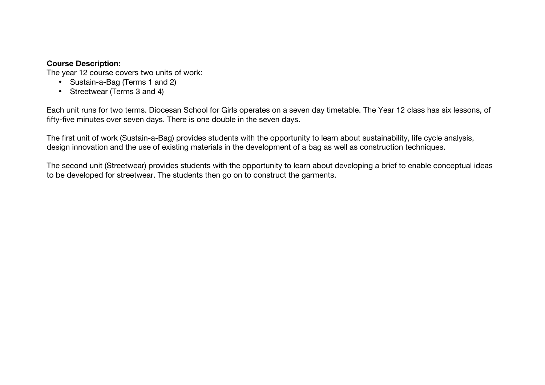### **Course Description:**

The year 12 course covers two units of work:

- Sustain-a-Bag (Terms 1 and 2)
- Streetwear (Terms 3 and 4)

Each unit runs for two terms. Diocesan School for Girls operates on a seven day timetable. The Year 12 class has six lessons, of fifty-five minutes over seven days. There is one double in the seven days.

The first unit of work (Sustain-a-Bag) provides students with the opportunity to learn about sustainability, life cycle analysis, design innovation and the use of existing materials in the development of a bag as well as construction techniques.

The second unit (Streetwear) provides students with the opportunity to learn about developing a brief to enable conceptual ideas to be developed for streetwear. The students then go on to construct the garments.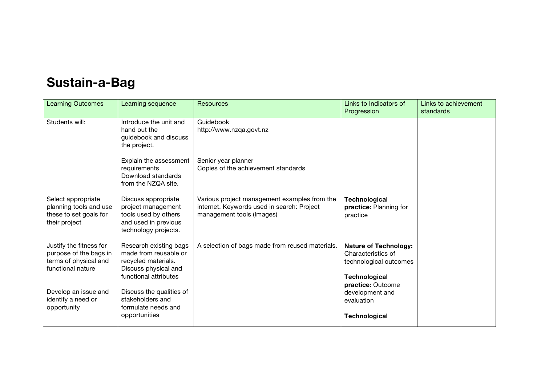## **Sustain-a-Bag**

| <b>Learning Outcomes</b>                                                                        | Learning sequence                                                                                                       | Resources                                                                                                               | Links to Indicators of<br>Progression                                                         | Links to achievement<br>standards |
|-------------------------------------------------------------------------------------------------|-------------------------------------------------------------------------------------------------------------------------|-------------------------------------------------------------------------------------------------------------------------|-----------------------------------------------------------------------------------------------|-----------------------------------|
| Students will:                                                                                  | Introduce the unit and<br>hand out the<br>guidebook and discuss<br>the project.                                         | Guidebook<br>http://www.nzqa.govt.nz                                                                                    |                                                                                               |                                   |
|                                                                                                 | Explain the assessment<br>requirements<br>Download standards<br>from the NZQA site.                                     | Senior year planner<br>Copies of the achievement standards                                                              |                                                                                               |                                   |
| Select appropriate<br>planning tools and use<br>these to set goals for<br>their project         | Discuss appropriate<br>project management<br>tools used by others<br>and used in previous<br>technology projects.       | Various project management examples from the<br>internet. Keywords used in search: Project<br>management tools (Images) | <b>Technological</b><br>practice: Planning for<br>practice                                    |                                   |
| Justify the fitness for<br>purpose of the bags in<br>terms of physical and<br>functional nature | Research existing bags<br>made from reusable or<br>recycled materials.<br>Discuss physical and<br>functional attributes | A selection of bags made from reused materials.                                                                         | <b>Nature of Technology:</b><br>Characteristics of<br>technological outcomes<br>Technological |                                   |
| Develop an issue and<br>identify a need or<br>opportunity                                       | Discuss the qualities of<br>stakeholders and<br>formulate needs and<br>opportunities                                    |                                                                                                                         | practice: Outcome<br>development and<br>evaluation<br><b>Technological</b>                    |                                   |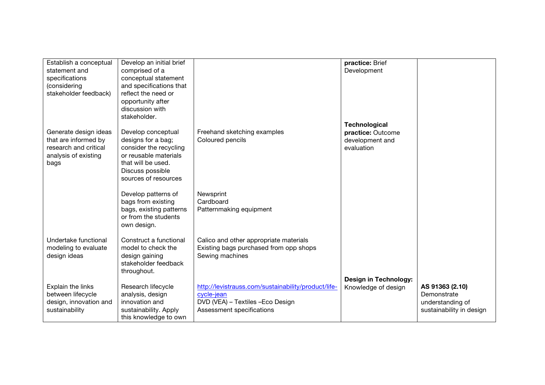| Establish a conceptual<br>statement and<br>specifications<br>(considering<br>stakeholder feedback)     | Develop an initial brief<br>comprised of a<br>conceptual statement<br>and specifications that<br>reflect the need or<br>opportunity after<br>discussion with<br>stakeholder. |                                                                                                                                     | practice: Brief<br>Development                                             |                                                                                |
|--------------------------------------------------------------------------------------------------------|------------------------------------------------------------------------------------------------------------------------------------------------------------------------------|-------------------------------------------------------------------------------------------------------------------------------------|----------------------------------------------------------------------------|--------------------------------------------------------------------------------|
| Generate design ideas<br>that are informed by<br>research and critical<br>analysis of existing<br>bags | Develop conceptual<br>designs for a bag;<br>consider the recycling<br>or reusable materials<br>that will be used.<br>Discuss possible<br>sources of resources                | Freehand sketching examples<br>Coloured pencils                                                                                     | <b>Technological</b><br>practice: Outcome<br>development and<br>evaluation |                                                                                |
|                                                                                                        | Develop patterns of<br>bags from existing<br>bags, existing patterns<br>or from the students<br>own design.                                                                  | Newsprint<br>Cardboard<br>Patternmaking equipment                                                                                   |                                                                            |                                                                                |
| Undertake functional<br>modeling to evaluate<br>design ideas                                           | Construct a functional<br>model to check the<br>design gaining<br>stakeholder feedback<br>throughout.                                                                        | Calico and other appropriate materials<br>Existing bags purchased from opp shops<br>Sewing machines                                 |                                                                            |                                                                                |
| Explain the links<br>between lifecycle<br>design, innovation and<br>sustainability                     | Research lifecycle<br>analysis, design<br>innovation and<br>sustainability. Apply<br>this knowledge to own                                                                   | http://levistrauss.com/sustainability/product/life-<br>cycle-jean<br>DVD (VEA) - Textiles - Eco Design<br>Assessment specifications | <b>Design in Technology:</b><br>Knowledge of design                        | AS 91363 (2.10)<br>Demonstrate<br>understanding of<br>sustainability in design |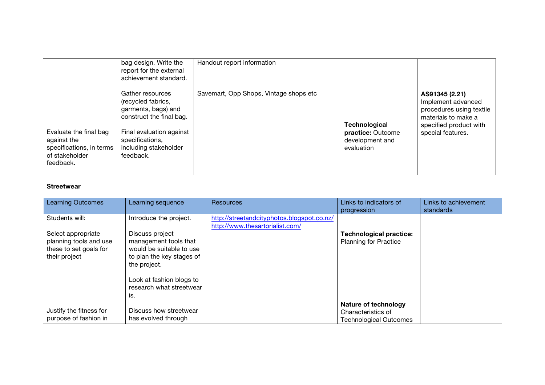|                                                                                                  | bag design. Write the<br>report for the external<br>achievement standard.                                                                                                      | Handout report information             |                                                                            |                                                                                                                                        |
|--------------------------------------------------------------------------------------------------|--------------------------------------------------------------------------------------------------------------------------------------------------------------------------------|----------------------------------------|----------------------------------------------------------------------------|----------------------------------------------------------------------------------------------------------------------------------------|
| Evaluate the final bag<br>against the<br>specifications, in terms<br>of stakeholder<br>feedback. | Gather resources<br>(recycled fabrics,<br>garments, bags) and<br>construct the final bag.<br>Final evaluation against<br>specifications,<br>including stakeholder<br>feedback. | Savemart, Opp Shops, Vintage shops etc | <b>Technological</b><br>practice: Outcome<br>development and<br>evaluation | AS91345 (2.21)<br>Implement advanced<br>procedures using textile<br>materials to make a<br>specified product with<br>special features. |

#### **Streetwear**

| <b>Learning Outcomes</b> | Learning sequence         | Resources                                  | Links to indicators of         | Links to achievement |
|--------------------------|---------------------------|--------------------------------------------|--------------------------------|----------------------|
|                          |                           |                                            | progression                    | standards            |
| Students will:           | Introduce the project.    | http://streetandcityphotos.blogspot.co.nz/ |                                |                      |
|                          |                           | http://www.thesartorialist.com/            |                                |                      |
| Select appropriate       | Discuss project           |                                            | <b>Technological practice:</b> |                      |
| planning tools and use   | management tools that     |                                            | <b>Planning for Practice</b>   |                      |
| these to set goals for   | would be suitable to use  |                                            |                                |                      |
| their project            | to plan the key stages of |                                            |                                |                      |
|                          | the project.              |                                            |                                |                      |
|                          |                           |                                            |                                |                      |
|                          | Look at fashion blogs to  |                                            |                                |                      |
|                          | research what streetwear  |                                            |                                |                      |
|                          | is.                       |                                            |                                |                      |
|                          |                           |                                            | Nature of technology           |                      |
| Justify the fitness for  | Discuss how streetwear    |                                            | Characteristics of             |                      |
| purpose of fashion in    | has evolved through       |                                            | Technological Outcomes         |                      |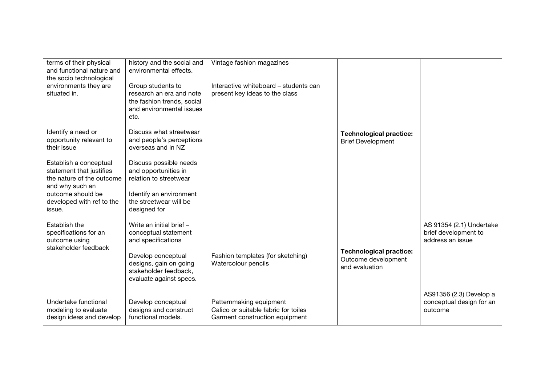| terms of their physical<br>and functional nature and<br>the socio technological<br>environments they are<br>situated in. | history and the social and<br>environmental effects.<br>Group students to<br>research an era and note | Vintage fashion magazines<br>Interactive whiteboard – students can<br>present key ideas to the class |                                                                         |                                                                      |
|--------------------------------------------------------------------------------------------------------------------------|-------------------------------------------------------------------------------------------------------|------------------------------------------------------------------------------------------------------|-------------------------------------------------------------------------|----------------------------------------------------------------------|
|                                                                                                                          | the fashion trends, social<br>and environmental issues<br>etc.                                        |                                                                                                      |                                                                         |                                                                      |
| Identify a need or<br>opportunity relevant to<br>their issue                                                             | Discuss what streetwear<br>and people's perceptions<br>overseas and in NZ                             |                                                                                                      | <b>Technological practice:</b><br><b>Brief Development</b>              |                                                                      |
| Establish a conceptual<br>statement that justifies<br>the nature of the outcome<br>and why such an                       | Discuss possible needs<br>and opportunities in<br>relation to streetwear                              |                                                                                                      |                                                                         |                                                                      |
| outcome should be<br>developed with ref to the<br>issue.                                                                 | Identify an environment<br>the streetwear will be<br>designed for                                     |                                                                                                      |                                                                         |                                                                      |
| Establish the<br>specifications for an<br>outcome using<br>stakeholder feedback                                          | Write an initial brief -<br>conceptual statement<br>and specifications                                |                                                                                                      |                                                                         | AS 91354 (2.1) Undertake<br>brief development to<br>address an issue |
|                                                                                                                          | Develop conceptual<br>designs, gain on going<br>stakeholder feedback.<br>evaluate against specs.      | Fashion templates (for sketching)<br>Watercolour pencils                                             | <b>Technological practice:</b><br>Outcome development<br>and evaluation |                                                                      |
| Undertake functional<br>modeling to evaluate<br>design ideas and develop                                                 | Develop conceptual<br>designs and construct<br>functional models.                                     | Patternmaking equipment<br>Calico or suitable fabric for toiles<br>Garment construction equipment    |                                                                         | AS91356 (2.3) Develop a<br>conceptual design for an<br>outcome       |